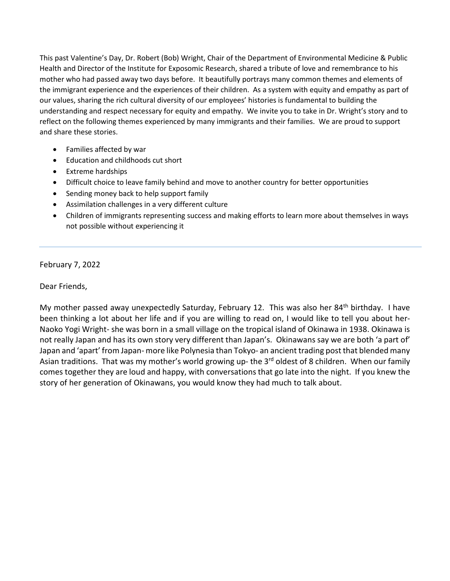This past Valentine's Day, Dr. Robert (Bob) Wright, Chair of the Department of Environmental Medicine & Public Health and Director of the Institute for Exposomic Research, shared a tribute of love and remembrance to his mother who had passed away two days before. It beautifully portrays many common themes and elements of the immigrant experience and the experiences of their children. As a system with equity and empathy as part of our values, sharing the rich cultural diversity of our employees' histories is fundamental to building the understanding and respect necessary for equity and empathy. We invite you to take in Dr. Wright's story and to reflect on the following themes experienced by many immigrants and their families. We are proud to support and share these stories.

- Families affected by war
- Education and childhoods cut short
- Extreme hardships
- Difficult choice to leave family behind and move to another country for better opportunities
- Sending money back to help support family
- Assimilation challenges in a very different culture
- Children of immigrants representing success and making efforts to learn more about themselves in ways not possible without experiencing it

February 7, 2022

Dear Friends,

My mother passed away unexpectedly Saturday, February 12. This was also her 84th birthday. I have been thinking a lot about her life and if you are willing to read on, I would like to tell you about her-Naoko Yogi Wright- she was born in a small village on the tropical island of Okinawa in 1938. Okinawa is not really Japan and has its own story very different than Japan's. Okinawans say we are both 'a part of' Japan and 'apart' from Japan- more like Polynesia than Tokyo- an ancient trading post that blended many Asian traditions. That was my mother's world growing up- the 3<sup>rd</sup> oldest of 8 children. When our family comes together they are loud and happy, with conversations that go late into the night. If you knew the story of her generation of Okinawans, you would know they had much to talk about.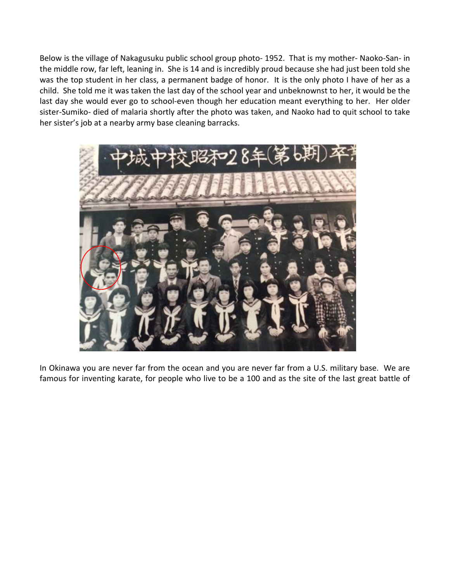Below is the village of Nakagusuku public school group photo- 1952. That is my mother- Naoko-San- in the middle row, far left, leaning in. She is 14 and is incredibly proud because she had just been told she was the top student in her class, a permanent badge of honor. It is the only photo I have of her as a child. She told me it was taken the last day of the school year and unbeknownst to her, it would be the last day she would ever go to school-even though her education meant everything to her. Her older sister-Sumiko- died of malaria shortly after the photo was taken, and Naoko had to quit school to take her sister's job at a nearby army base cleaning barracks.



In Okinawa you are never far from the ocean and you are never far from a U.S. military base. We are famous for inventing karate, for people who live to be a 100 and as the site of the last great battle of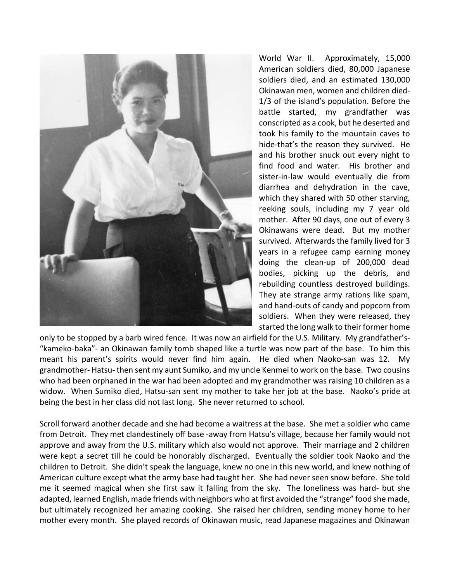

World War II. Approximately, 15,000 American soldiers died, 80,000 Japanese soldiers died, and an estimated 130,000 Okinawan men, women and children died-1/3 of the island's population. Before the battle started, my grandfather was conscripted as a cook, but he deserted and took his family to the mountain caves to hide-that's the reason they survived. He and his brother snuck out every night to find food and water. His brother and sister-in-law would eventually die from diarrhea and dehydration in the cave, which they shared with 50 other starving, reeking souls, including my 7 year old mother. After 90 days, one out of every 3 Okinawans were dead. But my mother survived. Afterwards the family lived for 3 years in a refugee camp earning money doing the clean-up of 200,000 dead bodies, picking up the debris, and rebuilding countless destroyed buildings. They ate strange army rations like spam, and hand-outs of candy and popcorn from soldiers. When they were released, they started the long walk to their former home

only to be stopped by a barb wired fence. It was now an airfield for the U.S. Military. My grandfather's- "kameko-baka"- an Okinawan family tomb shaped like a turtle was now part of the base. To him this meant his parent's spirits would never find him again. He died when Naoko-san was 12. My grandmother- Hatsu- then sent my aunt Sumiko, and my uncle Kenmei to work on the base. Two cousins who had been orphaned in the war had been adopted and my grandmother was raising 10 children as a widow. When Sumiko died, Hatsu-san sent my mother to take her job at the base. Naoko's pride at being the best in her class did not last long. She never returned to school.

Scroll forward another decade and she had become a waitress at the base. She met a soldier who came from Detroit. They met clandestinely off base -away from Hatsu's village, because her family would not approve and away from the U.S. military which also would not approve. Their marriage and 2 children were kept a secret till he could be honorably discharged. Eventually the soldier took Naoko and the children to Detroit. She didn't speak the language, knew no one in this new world, and knew nothing of American culture except what the army base had taught her. She had never seen snow before. She told me it seemed magical when she first saw it falling from the sky. The loneliness was hard- but she adapted, learned English, made friends with neighbors who at first avoided the "strange" food she made, but ultimately recognized her amazing cooking. She raised her children, sending money home to her mother every month. She played records of Okinawan music, read Japanese magazines and Okinawan